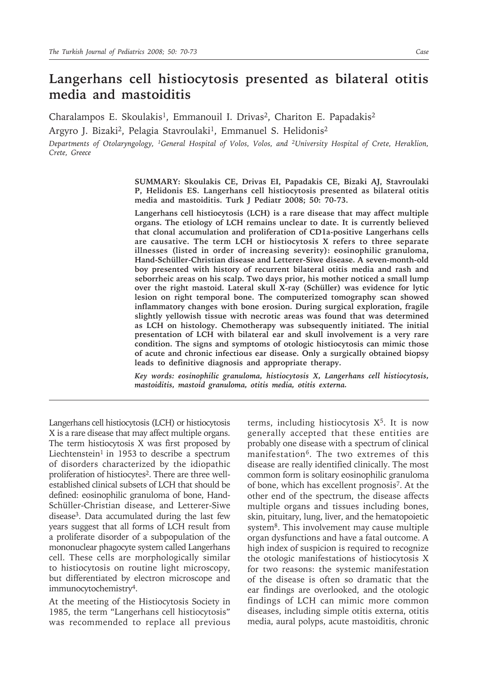## **Langerhans cell histiocytosis presented as bilateral otitis media and mastoiditis**

Charalampos E. Skoulakis<sup>1</sup>, Emmanouil I. Drivas<sup>2</sup>, Chariton E. Papadakis<sup>2</sup>

Argyro J. Bizaki<sup>2</sup>, Pelagia Stavroulaki<sup>1</sup>, Emmanuel S. Helidonis<sup>2</sup>

*Departments of Otolaryngology, 1General Hospital of Volos, Volos, and 2University Hospital of Crete, Heraklion, Crete, Greece*

> **SUMMARY: Skoulakis CE, Drivas EI, Papadakis CE, Bizaki AJ, Stavroulaki P, Helidonis ES. Langerhans cell histiocytosis presented as bilateral otitis media and mastoiditis. Turk J Pediatr 2008; 50: 70-73.**

> **Langerhans cell histiocytosis (LCH) is a rare disease that may affect multiple organs. The etiology of LCH remains unclear to date. It is currently believed that clonal accumulation and proliferation of CD1a-positive Langerhans cells are causative. The term LCH or histiocytosis X refers to three separate illnesses (listed in order of increasing severity): eosinophilic granuloma, Hand-Schüller-Christian disease and Letterer-Siwe disease. A seven-month-old boy presented with history of recurrent bilateral otitis media and rash and seborrheic areas on his scalp. Two days prior, his mother noticed a small lump over the right mastoid. Lateral skull X-ray (Schüller) was evidence for lytic lesion on right temporal bone. The computerized tomography scan showed inflammatory changes with bone erosion. During surgical exploration, fragile slightly yellowish tissue with necrotic areas was found that was determined as LCH on histology. Chemotherapy was subsequently initiated. The initial presentation of LCH with bilateral ear and skull involvement is a very rare condition. The signs and symptoms of otologic histiocytosis can mimic those of acute and chronic infectious ear disease. Only a surgically obtained biopsy leads to definitive diagnosis and appropriate therapy.**

> *Key words: eosinophilic granuloma, histiocytosis X, Langerhans cell histiocytosis, mastoiditis, mastoid granuloma, otitis media, otitis externa.*

Langerhans cell histiocytosis (LCH) or histiocytosis X is a rare disease that may affect multiple organs. The term histiocytosis X was first proposed by Liechtenstein<sup>1</sup> in 1953 to describe a spectrum of disorders characterized by the idiopathic proliferation of histiocytes<sup>2</sup>. There are three wellestablished clinical subsets of LCH that should be defined: eosinophilic granuloma of bone, Hand-Schüller-Christian disease, and Letterer-Siwe disease<sup>3</sup>. Data accumulated during the last few years suggest that all forms of LCH result from a proliferate disorder of a subpopulation of the mononuclear phagocyte system called Langerhans cell. These cells are morphologically similar to histiocytosis on routine light microscopy, but differentiated by electron microscope and immunocytochemistry4.

At the meeting of the Histiocytosis Society in 1985, the term "Langerhans cell histiocytosis" was recommended to replace all previous terms, including histiocytosis  $X<sup>5</sup>$ . It is now generally accepted that these entities are probably one disease with a spectrum of clinical manifestation<sup>6</sup>. The two extremes of this disease are really identified clinically. The most common form is solitary eosinophilic granuloma of bone, which has excellent prognosis7. At the other end of the spectrum, the disease affects multiple organs and tissues including bones, skin, pituitary, lung, liver, and the hematopoietic system<sup>8</sup>. This involvement may cause multiple organ dysfunctions and have a fatal outcome. A high index of suspicion is required to recognize the otologic manifestations of histiocytosis X for two reasons: the systemic manifestation of the disease is often so dramatic that the ear findings are overlooked, and the otologic findings of LCH can mimic more common diseases, including simple otitis externa, otitis media, aural polyps, acute mastoiditis, chronic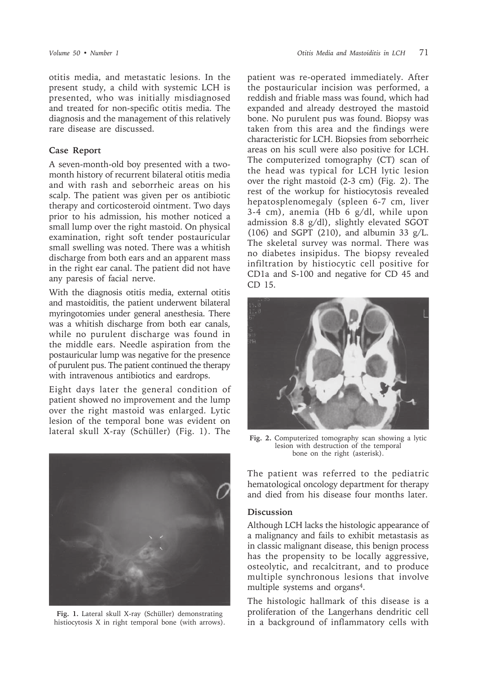otitis media, and metastatic lesions. In the present study, a child with systemic LCH is presented, who was initially misdiagnosed and treated for non-specific otitis media. The diagnosis and the management of this relatively rare disease are discussed.

## **Case Report**

A seven-month-old boy presented with a twomonth history of recurrent bilateral otitis media and with rash and seborrheic areas on his scalp. The patient was given per os antibiotic therapy and corticosteroid ointment. Two days prior to his admission, his mother noticed a small lump over the right mastoid. On physical examination, right soft tender postauricular small swelling was noted. There was a whitish discharge from both ears and an apparent mass in the right ear canal. The patient did not have any paresis of facial nerve.

With the diagnosis otitis media, external otitis and mastoiditis, the patient underwent bilateral myringotomies under general anesthesia. There was a whitish discharge from both ear canals, while no purulent discharge was found in the middle ears. Needle aspiration from the postauricular lump was negative for the presence of purulent pus. The patient continued the therapy with intravenous antibiotics and eardrops.

Eight days later the general condition of patient showed no improvement and the lump over the right mastoid was enlarged. Lytic lesion of the temporal bone was evident on lateral skull X-ray (Schüller) (Fig. 1). The **Fig. 2.** Computerized tomography scan showing a lytic



**Fig. 1.** Lateral skull X-ray (Schüller) demonstrating histiocytosis X in right temporal bone (with arrows).

patient was re-operated immediately. After the postauricular incision was performed, a reddish and friable mass was found, which had expanded and already destroyed the mastoid bone. No purulent pus was found. Biopsy was taken from this area and the findings were characteristic for LCH. Biopsies from seborrheic areas on his scull were also positive for LCH. The computerized tomography (CT) scan of the head was typical for LCH lytic lesion over the right mastoid (2-3 cm) (Fig. 2). The rest of the workup for histiocytosis revealed hepatosplenomegaly (spleen 6-7 cm, liver 3-4 cm), anemia (Hb 6 g/dl, while upon admission 8.8 g/dl), slightly elevated SGOT (106) and SGPT (210), and albumin 33  $g/L$ . The skeletal survey was normal. There was no diabetes insipidus. The biopsy revealed infiltration by histiocytic cell positive for CD1a and S-100 and negative for CD 45 and CD 15.



lesion with destruction of the temporal bone on the right (asterisk).

The patient was referred to the pediatric hematological oncology department for therapy and died from his disease four months later.

## **Discussion**

Although LCH lacks the histologic appearance of a malignancy and fails to exhibit metastasis as in classic malignant disease, this benign process has the propensity to be locally aggressive, osteolytic, and recalcitrant, and to produce multiple synchronous lesions that involve multiple systems and organs<sup>4</sup>.

The histologic hallmark of this disease is a proliferation of the Langerhans dendritic cell in a background of inflammatory cells with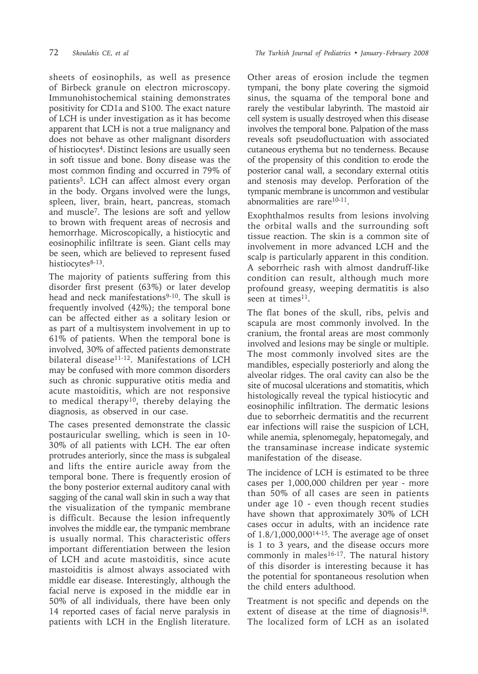sheets of eosinophils, as well as presence of Birbeck granule on electron microscopy. Immunohistochemical staining demonstrates positivity for CD1a and S100. The exact nature of LCH is under investigation as it has become apparent that LCH is not a true malignancy and does not behave as other malignant disorders of histiocytes4. Distinct lesions are usually seen in soft tissue and bone. Bony disease was the most common finding and occurred in 79% of patients<sup>5</sup>. LCH can affect almost every organ in the body. Organs involved were the lungs, spleen, liver, brain, heart, pancreas, stomach and muscle7. The lesions are soft and yellow to brown with frequent areas of necrosis and hemorrhage. Microscopically, a histiocytic and eosinophilic infiltrate is seen. Giant cells may be seen, which are believed to represent fused histiocytes<sup>8-13</sup>.

The majority of patients suffering from this disorder first present (63%) or later develop head and neck manifestations<sup>9-10</sup>. The skull is frequently involved (42%); the temporal bone can be affected either as a solitary lesion or as part of a multisystem involvement in up to 61% of patients. When the temporal bone is involved, 30% of affected patients demonstrate bilateral disease<sup>11-12</sup>. Manifestations of LCH may be confused with more common disorders such as chronic suppurative otitis media and acute mastoiditis, which are not responsive to medical therapy<sup>10</sup>, thereby delaying the diagnosis, as observed in our case.

The cases presented demonstrate the classic postauricular swelling, which is seen in 10- 30% of all patients with LCH. The ear often protrudes anteriorly, since the mass is subgaleal and lifts the entire auricle away from the temporal bone. There is frequently erosion of the bony posterior external auditory canal with sagging of the canal wall skin in such a way that the visualization of the tympanic membrane is difficult. Because the lesion infrequently involves the middle ear, the tympanic membrane is usually normal. This characteristic offers important differentiation between the lesion of LCH and acute mastoiditis, since acute mastoiditis is almost always associated with middle ear disease. Interestingly, although the facial nerve is exposed in the middle ear in 50% of all individuals, there have been only 14 reported cases of facial nerve paralysis in patients with LCH in the English literature.

Other areas of erosion include the tegmen tympani, the bony plate covering the sigmoid sinus, the squama of the temporal bone and rarely the vestibular labyrinth. The mastoid air cell system is usually destroyed when this disease involves the temporal bone. Palpation of the mass reveals soft pseudofluctuation with associated cutaneous erythema but no tenderness. Because of the propensity of this condition to erode the posterior canal wall, a secondary external otitis and stenosis may develop. Perforation of the tympanic membrane is uncommon and vestibular abnormalities are rare<sup>10-11</sup>.

Exophthalmos results from lesions involving the orbital walls and the surrounding soft tissue reaction. The skin is a common site of involvement in more advanced LCH and the scalp is particularly apparent in this condition. A seborrheic rash with almost dandruff-like condition can result, although much more profound greasy, weeping dermatitis is also seen at times<sup>11</sup>.

The flat bones of the skull, ribs, pelvis and scapula are most commonly involved. In the cranium, the frontal areas are most commonly involved and lesions may be single or multiple. The most commonly involved sites are the mandibles, especially posteriorly and along the alveolar ridges. The oral cavity can also be the site of mucosal ulcerations and stomatitis, which histologically reveal the typical histiocytic and eosinophilic infiltration. The dermatic lesions due to seborrheic dermatitis and the recurrent ear infections will raise the suspicion of LCH, while anemia, splenomegaly, hepatomegaly, and the transaminase increase indicate systemic manifestation of the disease.

The incidence of LCH is estimated to be three cases per 1,000,000 children per year - more than 50% of all cases are seen in patients under age 10 - even though recent studies have shown that approximately 30% of LCH cases occur in adults, with an incidence rate of 1.8/1,000,00014-15. The average age of onset is 1 to 3 years, and the disease occurs more commonly in males $16-17$ . The natural history of this disorder is interesting because it has the potential for spontaneous resolution when the child enters adulthood.

Treatment is not specific and depends on the extent of disease at the time of diagnosis $18$ . The localized form of LCH as an isolated